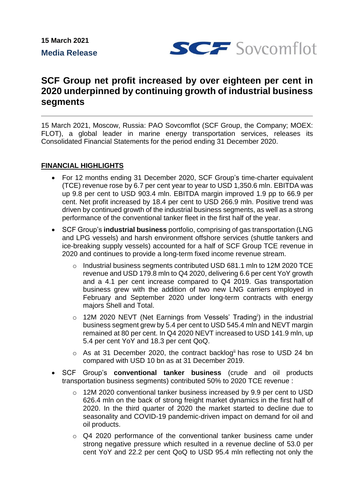

# **SCF Group net profit increased by over eighteen per cent in 2020 underpinned by continuing growth of industrial business segments**

15 March 2021, Moscow, Russia: PAO Sovcomflot (SCF Group, the Company; MOEX: FLOT), a global leader in marine energy transportation services, releases its Consolidated Financial Statements for the period ending 31 December 2020.

# **FINANCIAL HIGHLIGHTS**

- For 12 months ending 31 December 2020, SCF Group's time-charter equivalent (TCE) revenue rose by 6.7 per cent year to year to USD 1,350.6 mln. EBITDA was up 9.8 per cent to USD 903.4 mln. EBITDA margin improved 1.9 pp to 66.9 per cent. Net profit increased by 18.4 per cent to USD 266.9 mln. Positive trend was driven by continued growth of the industrial business segments, as well as a strong performance of the conventional tanker fleet in the first half of the year.
- SCF Group's **industrial business** portfolio, comprising of gas transportation (LNG and LPG vessels) and harsh environment offshore services (shuttle tankers and ice-breaking supply vessels) accounted for a half of SCF Group TCE revenue in 2020 and continues to provide a long-term fixed income revenue stream.
	- o Industrial business segments contributed USD 681.1 mln to 12M 2020 TCE revenue and USD 179.8 mln to Q4 2020, delivering 6.6 per cent YoY growth and a 4.1 per cent increase compared to Q4 2019. Gas transportation business grew with the addition of two new LNG carriers employed in February and September 2020 under long-term contracts with energy majors Shell and Total.
	- o 12M 2020 NEVT (Net Earnings from Vessels' Trading<sup>i</sup> ) in the industrial business segment grew by 5.4 per cent to USD 545.4 mln and NEVT margin remained at 80 per cent. In Q4 2020 NEVT increased to USD 141.9 mln, up 5.4 per cent YoY and 18.3 per cent QoQ.
	- o As at 31 December 2020, the contract backlogii has rose to USD 24 bn compared with USD 10 bn as at 31 December 2019.
- SCF Group's **conventional tanker business** (crude and oil products transportation business segments) contributed 50% to 2020 TCE revenue :
	- o 12M 2020 conventional tanker business increased by 9.9 per cent to USD 626.4 mln on the back of strong freight market dynamics in the first half of 2020. In the third quarter of 2020 the market started to decline due to seasonality and COVID-19 pandemic-driven impact on demand for oil and oil products.
	- o Q4 2020 performance of the conventional tanker business came under strong negative pressure which resulted in a revenue decline of 53.0 per cent YoY and 22.2 per cent QoQ to USD 95.4 mln reflecting not only the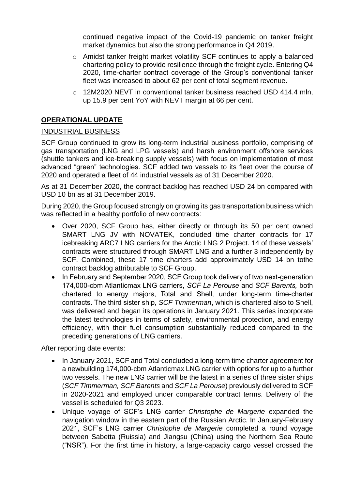continued negative impact of the Covid-19 pandemic on tanker freight market dynamics but also the strong performance in Q4 2019.

- o Amidst tanker freight market volatility SCF continues to apply a balanced chartering policy to provide resilience through the freight cycle. Entering Q4 2020, time-charter contract coverage of the Group's conventional tanker fleet was increased to about 62 per cent of total segment revenue.
- o 12M2020 NEVT in conventional tanker business reached USD 414.4 mln, up 15.9 per cent YoY with NEVT margin at 66 per cent.

# **OPERATIONAL UPDATE**

### INDUSTRIAL BUSINESS

SCF Group continued to grow its long-term industrial business portfolio, comprising of gas transportation (LNG and LPG vessels) and harsh environment offshore services (shuttle tankers and ice-breaking supply vessels) with focus on implementation of most advanced "green" technologies. SCF added two vessels to its fleet over the course of 2020 and operated a fleet of 44 industrial vessels as of 31 December 2020.

As at 31 December 2020, the contract backlog has reached USD 24 bn compared with USD 10 bn as at 31 December 2019.

During 2020, the Group focused strongly on growing its gas transportation business which was reflected in a healthy portfolio of new contracts:

- Over 2020, SCF Group has, either directly or through its 50 per cent owned SMART LNG JV with NOVATEK, concluded time charter contracts for 17 icebreaking ARC7 LNG carriers for the Arctic LNG 2 Project. 14 of these vessels' contracts were structured through SMART LNG and a further 3 independently by SCF. Combined, these 17 time charters add approximately USD 14 bn tothe contract backlog attributable to SCF Group.
- In February and September 2020, SCF Group took delivery of two next-generation 174,000-cbm Atlanticmax LNG carriers, *SCF La Perouse* and *SCF Barents,* both chartered to energy majors, Total and Shell, under long-term time-charter contracts. The third sister ship, *SCF Timmerman*, which is chartered also to Shell, was delivered and began its operations in January 2021. This series incorporate the latest technologies in terms of safety, environmental protection, and energy efficiency, with their fuel consumption substantially reduced compared to the preceding generations of LNG carriers.

After reporting date events:

- In January 2021, SCF and Total concluded a long-term time charter agreement for a newbuilding 174,000-cbm Atlanticmax LNG carrier with options for up to a further two vessels. The new LNG carrier will be the latest in a series of three sister ships (*SCF Timmerman, SCF Barents* and *SCF La Perouse*) previously delivered to SCF in 2020-2021 and employed under comparable contract terms. Delivery of the vessel is scheduled for Q3 2023.
- Unique voyage of SCF's LNG carrier *Christophe de Margerie* expanded the navigation window in the eastern part of the Russian Arctic. In January-February 2021, SCF's LNG carrier *Christophe de Margerie* completed a round voyage between Sabetta (Ruissia) and Jiangsu (China) using the Northern Sea Route ("NSR"). For the first time in history, a large-capacity cargo vessel crossed the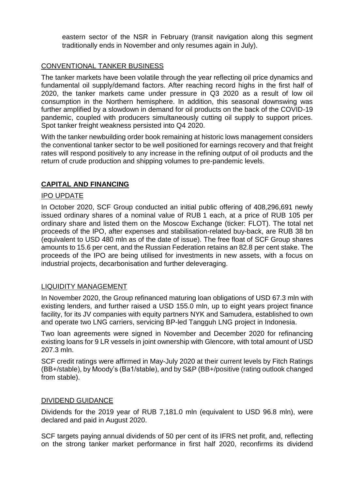eastern sector of the NSR in February (transit navigation along this segment traditionally ends in November and only resumes again in July).

## CONVENTIONAL TANKER BUSINESS

The tanker markets have been volatile through the year reflecting oil price dynamics and fundamental oil supply/demand factors. After reaching record highs in the first half of 2020, the tanker markets came under pressure in Q3 2020 as a result of low oil consumption in the Northern hemisphere. In addition, this seasonal downswing was further amplified by a slowdown in demand for oil products on the back of the COVID-19 pandemic, coupled with producers simultaneously cutting oil supply to support prices. Spot tanker freight weakness persisted into Q4 2020.

With the tanker newbuilding order book remaining at historic lows management considers the conventional tanker sector to be well positioned for earnings recovery and that freight rates will respond positively to any increase in the refining output of oil products and the return of crude production and shipping volumes to pre-pandemic levels.

# **CAPITAL AND FINANCING**

### IPO UPDATE

In October 2020, SCF Group conducted an initial public offering of 408,296,691 newly issued ordinary shares of a nominal value of RUB 1 each, at a price of RUB 105 per ordinary share and listed them on the Moscow Exchange (ticker: FLOT). The total net proceeds of the IPO, after expenses and stabilisation-related buy-back, are RUB 38 bn (equivalent to USD 480 mln as of the date of issue). The free float of SCF Group shares amounts to 15.6 per cent, and the Russian Federation retains an 82.8 per cent stake. The proceeds of the IPO are being utilised for investments in new assets, with a focus on industrial projects, decarbonisation and further deleveraging.

#### LIQUIDITY MANAGEMENT

In November 2020, the Group refinanced maturing loan obligations of USD 67.3 mln with existing lenders, and further raised a USD 155.0 mln, up to eight years project finance facility, for its JV companies with equity partners NYK and Samudera, established to own and operate two LNG carriers, servicing BP-led Tangguh LNG project in Indonesia.

Two loan agreements were signed in November and December 2020 for refinancing existing loans for 9 LR vessels in joint ownership with Glencore, with total amount of USD 207.3 mln.

SCF credit ratings were affirmed in May-July 2020 at their current levels by Fitch Ratings (BB+/stable), by Moody's (Ba1/stable), and by S&P (BB+/positive (rating outlook changed from stable).

#### DIVIDEND GUIDANCE

Dividends for the 2019 year of RUB 7,181.0 mln (equivalent to USD 96.8 mln), were declared and paid in August 2020.

SCF targets paying annual dividends of 50 per cent of its IFRS net profit, and, reflecting on the strong tanker market performance in first half 2020, reconfirms its dividend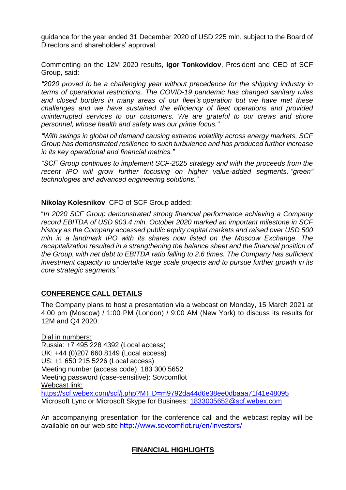guidance for the year ended 31 December 2020 of USD 225 mln, subject to the Board of Directors and shareholders' approval.

Commenting on the 12M 2020 results, **Igor Tonkovidov**, President and CEO of SCF Group, said:

*"2020 proved to be a challenging year without precedence for the shipping industry in terms of operational restrictions. The COVID-19 pandemic has changed sanitary rules and closed borders in many areas of our fleet's operation but we have met these challenges and we have sustained the efficiency of fleet operations and provided uninterrupted services to our customers. We are grateful to our crews and shore personnel, whose health and safety was our prime focus."*

*"With swings in global oil demand causing extreme volatility across energy markets, SCF Group has demonstrated resilience to such turbulence and has produced further increase in its key operational and financial metrics."* 

*"SCF Group continues to implement SCF-2025 strategy and with the proceeds from the recent IPO will grow further focusing on higher value-added segments, "green" technologies and advanced engineering solutions."* 

#### **Nikolay Kolesnikov**, CFO of SCF Group added:

"*In 2020 SCF Group demonstrated strong financial performance achieving a Company record EBITDA of USD 903.4 mln. October 2020 marked an important milestone in SCF history as the Company accessed public equity capital markets and raised over USD 500 mln in a landmark IPO with its shares now listed on the Moscow Exchange. The recapitalization resulted in a strengthening the balance sheet and the financial position of the Group, with net debt to EBITDA ratio falling to 2.6 times. The Company has sufficient investment capacity to undertake large scale projects and to pursue further growth in its core strategic segments.*"

#### **CONFERENCE CALL DETAILS**

The Company plans to host a presentation via a webcast on Monday, 15 March 2021 at 4:00 pm (Moscow) / 1:00 PM (London) / 9:00 AM (New York) to discuss its results for 12M and Q4 2020.

Dial in numbers: Russia: +7 495 228 4392 (Local access) UK: +44 (0)207 660 8149 (Local access) US: +1 650 215 5226 (Local access) Meeting number (access code): 183 300 5652 Meeting password (case-sensitive): Sovcomflot Webcast link: <https://scf.webex.com/scf/j.php?MTID=m9792da44d6e38ee0dbaaa71f41e48095> Microsoft Lync or Microsoft Skype for Business: 1833005652@scf.webex.com

An accompanying presentation for the conference call and the webcast replay will be available on our web site <http://www.sovcomflot.ru/en/investors/>

# **FINANCIAL HIGHLIGHTS**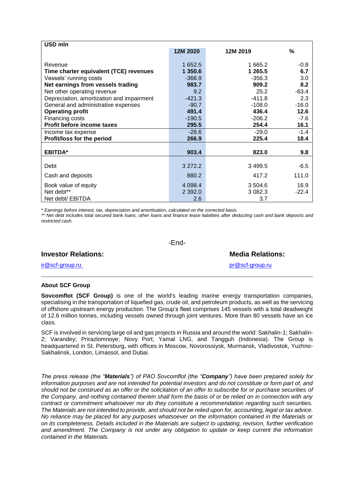| USD mln                                   |            |             |         |
|-------------------------------------------|------------|-------------|---------|
|                                           | 12M 2020   | 12M 2019    | %       |
|                                           |            |             |         |
| Revenue                                   | 1 652.5    | 1 665.2     | $-0.8$  |
| Time charter equivalent (TCE) revenues    | 1 350.6    | 1 265.5     | 6.7     |
| Vessels' running costs                    | $-366.9$   | $-356.3$    | 3.0     |
| Net earnings from vessels trading         | 983.7      | 909.2       | 8.2     |
| Net other operating revenue               | 9.2        | 25.2        | $-63.4$ |
| Depreciation, amortization and impairment | $-421.3$   | $-411.8$    | 2.3     |
| General and administrative expenses       | $-90.7$    | $-108.0$    | $-16.0$ |
| <b>Operating profit</b>                   | 491.4      | 436.4       | 12.6    |
| Financing costs                           | $-190.5$   | $-206.2$    | -7.6    |
| Profit before income taxes                | 295.5      | 254.4       | 16.1    |
| Income tax expense                        | $-28.6$    | $-29.0$     | $-1.4$  |
| Profit/loss for the period                | 266.9      | 225.4       | 18.4    |
|                                           |            |             |         |
| <b>EBITDA*</b>                            | 903.4      | 823.0       | 9.8     |
|                                           |            |             |         |
| Debt                                      | 3 272.2    | 3 4 9 9.5   | $-6.5$  |
| Cash and deposits                         | 880.2      | 417.2       | 111.0   |
| Book value of equity                      | 4 0 9 8.4  | 3 504.6     | 16.9    |
| Net debt**                                | 2 3 9 2 .0 | 3 0 8 2 . 3 | $-22.4$ |
| Net debt/ EBITDA                          | 2.6        | 3.7         |         |

\* *Earnings before interest, tax, depreciation and amortisation, calculated on the corrected basis.*

*\*\* Net debt includes total secured bank loans, other loans and finance lease liabilities after deducting cash and bank deposits and restricted cash.*

-End-

| ---                        |                         |  |
|----------------------------|-------------------------|--|
| <b>Investor Relations:</b> | <b>Media Relations:</b> |  |
| ir@scf-group.ru            | pr@scf-group.ru         |  |

#### **About SCF Group**

**Sovcomflot (SCF Group)** is one of the world's leading marine energy transportation companies, specialising in the transportation of liquefied gas, crude oil, and petroleum products, as well as the servicing of offshore upstream energy production. The Group's fleet comprises 145 vessels with a total deadweight of 12.6 million tonnes, including vessels owned through joint ventures. More than 80 vessels have an ice class.

SCF is involved in servicing large oil and gas projects in Russia and around the world: Sakhalin-1; Sakhalin-2; Varandey; Prirazlomnoye; Novy Port; Yamal LNG, and Tangguh (Indonesia). The Group is headquartered in St. Petersburg, with offices in Moscow, Novorossiysk, Murmansk, Vladivostok, Yuzhno-Sakhalinsk, London, Limassol, and Dubai.

*The press release (the "Materials") of PAO Sovcomflot (the "Company") have been prepared solely for information purposes and are not intended for potential investors and do not constitute or form part of, and should not be construed as an offer or the solicitation of an offer to subscribe for or purchase securities of the Company, and nothing contained therein shall form the basis of or be relied on in connection with any contract or commitment whatsoever nor do they constitute a recommendation regarding such securities. The Materials are not intended to provide, and should not be relied upon for, accounting, legal or tax advice. No reliance may be placed for any purposes whatsoever on the information contained in the Materials or on its completeness. Details included in the Materials are subject to updating, revision, further verification and amendment. The Company is not under any obligation to update or keep current the information contained in the Materials.*